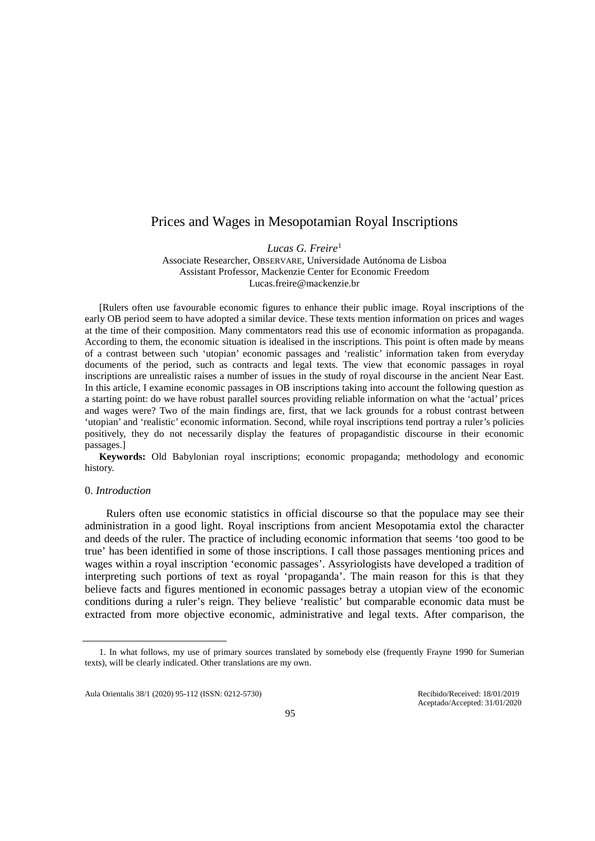# Prices and Wages in Mesopotamian Royal Inscriptions

*Lucas G. Freire*[1](#page-0-0)

Associate Researcher, OBSERVARE, Universidade Autónoma de Lisboa Assistant Professor, Mackenzie Center for Economic Freedom Lucas.freire@mackenzie.br

[Rulers often use favourable economic figures to enhance their public image. Royal inscriptions of the early OB period seem to have adopted a similar device. These texts mention information on prices and wages at the time of their composition. Many commentators read this use of economic information as propaganda. According to them, the economic situation is idealised in the inscriptions. This point is often made by means of a contrast between such 'utopian' economic passages and 'realistic' information taken from everyday documents of the period, such as contracts and legal texts. The view that economic passages in royal inscriptions are unrealistic raises a number of issues in the study of royal discourse in the ancient Near East. In this article, I examine economic passages in OB inscriptions taking into account the following question as a starting point: do we have robust parallel sources providing reliable information on what the 'actual' prices and wages were? Two of the main findings are, first, that we lack grounds for a robust contrast between 'utopian' and 'realistic' economic information. Second, while royal inscriptions tend portray a ruler's policies positively, they do not necessarily display the features of propagandistic discourse in their economic passages.]

**Keywords:** Old Babylonian royal inscriptions; economic propaganda; methodology and economic history.

#### 0. *Introduction*

Rulers often use economic statistics in official discourse so that the populace may see their administration in a good light. Royal inscriptions from ancient Mesopotamia extol the character and deeds of the ruler. The practice of including economic information that seems 'too good to be true' has been identified in some of those inscriptions. I call those passages mentioning prices and wages within a royal inscription 'economic passages'. Assyriologists have developed a tradition of interpreting such portions of text as royal 'propaganda'. The main reason for this is that they believe facts and figures mentioned in economic passages betray a utopian view of the economic conditions during a ruler's reign. They believe 'realistic' but comparable economic data must be extracted from more objective economic, administrative and legal texts. After comparison, the

<span id="page-0-0"></span> <sup>1.</sup> In what follows, my use of primary sources translated by somebody else (frequently Frayne 1990 for Sumerian texts), will be clearly indicated. Other translations are my own.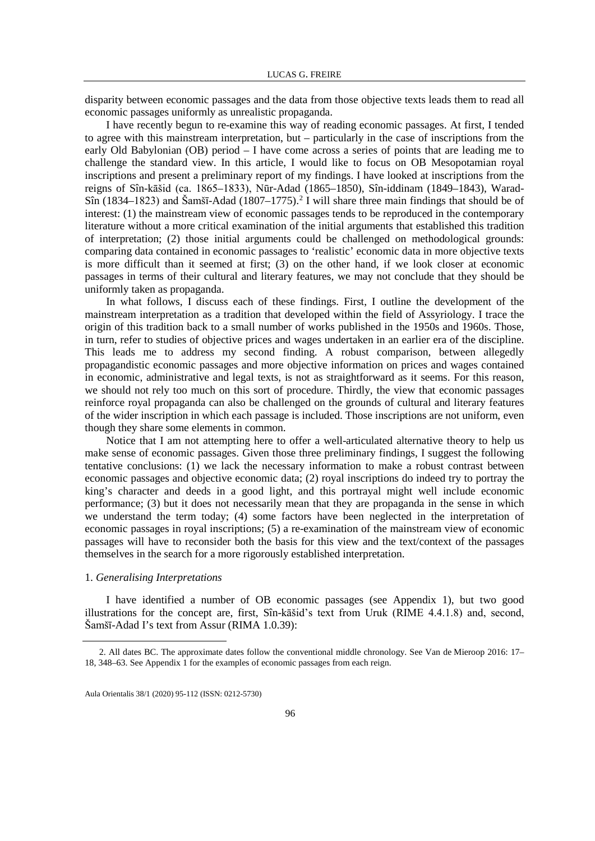disparity between economic passages and the data from those objective texts leads them to read all economic passages uniformly as unrealistic propaganda.

I have recently begun to re-examine this way of reading economic passages. At first, I tended to agree with this mainstream interpretation, but – particularly in the case of inscriptions from the early Old Babylonian (OB) period – I have come across a series of points that are leading me to challenge the standard view. In this article, I would like to focus on OB Mesopotamian royal inscriptions and present a preliminary report of my findings. I have looked at inscriptions from the reigns of Sîn-kāšid (ca. 1865–1833), Nūr-Adad (1865–1850), Sîn-iddinam (1849–1843), Warad- $\sin(1834-1823)$  $\sin(1834-1823)$  $\sin(1834-1823)$  and Šamšī-Adad  $(1807-1775)$ .<sup>2</sup> I will share three main findings that should be of interest: (1) the mainstream view of economic passages tends to be reproduced in the contemporary literature without a more critical examination of the initial arguments that established this tradition of interpretation; (2) those initial arguments could be challenged on methodological grounds: comparing data contained in economic passages to 'realistic' economic data in more objective texts is more difficult than it seemed at first; (3) on the other hand, if we look closer at economic passages in terms of their cultural and literary features, we may not conclude that they should be uniformly taken as propaganda.

In what follows, I discuss each of these findings. First, I outline the development of the mainstream interpretation as a tradition that developed within the field of Assyriology. I trace the origin of this tradition back to a small number of works published in the 1950s and 1960s. Those, in turn, refer to studies of objective prices and wages undertaken in an earlier era of the discipline. This leads me to address my second finding. A robust comparison, between allegedly propagandistic economic passages and more objective information on prices and wages contained in economic, administrative and legal texts, is not as straightforward as it seems. For this reason, we should not rely too much on this sort of procedure. Thirdly, the view that economic passages reinforce royal propaganda can also be challenged on the grounds of cultural and literary features of the wider inscription in which each passage is included. Those inscriptions are not uniform, even though they share some elements in common.

Notice that I am not attempting here to offer a well-articulated alternative theory to help us make sense of economic passages. Given those three preliminary findings, I suggest the following tentative conclusions: (1) we lack the necessary information to make a robust contrast between economic passages and objective economic data; (2) royal inscriptions do indeed try to portray the king's character and deeds in a good light, and this portrayal might well include economic performance; (3) but it does not necessarily mean that they are propaganda in the sense in which we understand the term today; (4) some factors have been neglected in the interpretation of economic passages in royal inscriptions; (5) a re-examination of the mainstream view of economic passages will have to reconsider both the basis for this view and the text/context of the passages themselves in the search for a more rigorously established interpretation.

# 1. *Generalising Interpretations*

I have identified a number of OB economic passages (see Appendix 1), but two good illustrations for the concept are, first, Sîn-kāšid's text from Uruk (RIME 4.4.1.8) and, second, Šamšī-Adad I's text from Assur (RIMA 1.0.39):

<span id="page-1-0"></span> <sup>2.</sup> All dates BC. The approximate dates follow the conventional middle chronology. See Van de Mieroop 2016: 17– 18, 348–63. See Appendix 1 for the examples of economic passages from each reign.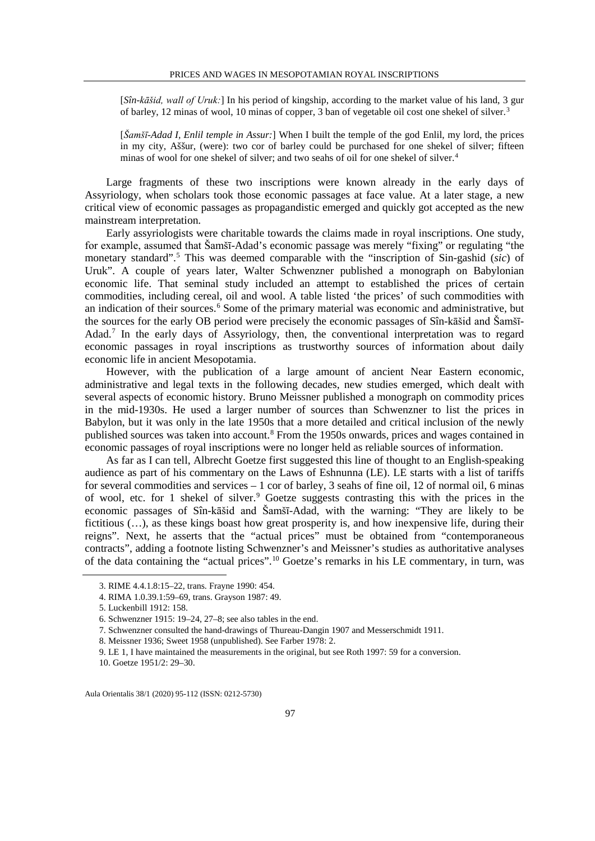[*Sîn-kāšid, wall of Uruk:*] In his period of kingship, according to the market value of his land, 3 gur of barley, 12 minas of wool, 10 minas of copper, 3 ban of vegetable oil cost one shekel of silver.[3](#page-2-0)

[*Šamšī-Adad I, Enlil temple in Assur:*] When I built the temple of the god Enlil, my lord, the prices in my city, Aššur, (were): two cor of barley could be purchased for one shekel of silver; fifteen minas of wool for one shekel of silver; and two seahs of oil for one shekel of silver.<sup>[4](#page-2-1)</sup>

Large fragments of these two inscriptions were known already in the early days of Assyriology, when scholars took those economic passages at face value. At a later stage, a new critical view of economic passages as propagandistic emerged and quickly got accepted as the new mainstream interpretation.

Early assyriologists were charitable towards the claims made in royal inscriptions. One study, for example, assumed that Šamšī-Adad's economic passage was merely "fixing" or regulating "the monetary standard".[5](#page-2-2) This was deemed comparable with the "inscription of Sin-gashid (*sic*) of Uruk". A couple of years later, Walter Schwenzner published a monograph on Babylonian economic life. That seminal study included an attempt to established the prices of certain commodities, including cereal, oil and wool. A table listed 'the prices' of such commodities with an indication of their sources.<sup>[6](#page-2-3)</sup> Some of the primary material was economic and administrative, but the sources for the early OB period were precisely the economic passages of Sîn-kāšid and Šamšī-Adad.[7](#page-2-4) In the early days of Assyriology, then, the conventional interpretation was to regard economic passages in royal inscriptions as trustworthy sources of information about daily economic life in ancient Mesopotamia.

However, with the publication of a large amount of ancient Near Eastern economic, administrative and legal texts in the following decades, new studies emerged, which dealt with several aspects of economic history. Bruno Meissner published a monograph on commodity prices in the mid-1930s. He used a larger number of sources than Schwenzner to list the prices in Babylon, but it was only in the late 1950s that a more detailed and critical inclusion of the newly published sources was taken into account.<sup>[8](#page-2-5)</sup> From the 1950s onwards, prices and wages contained in economic passages of royal inscriptions were no longer held as reliable sources of information.

As far as I can tell, Albrecht Goetze first suggested this line of thought to an English-speaking audience as part of his commentary on the Laws of Eshnunna (LE). LE starts with a list of tariffs for several commodities and services – 1 cor of barley, 3 seahs of fine oil, 12 of normal oil, 6 minas of wool, etc. for 1 shekel of silver.<sup>[9](#page-2-6)</sup> Goetze suggests contrasting this with the prices in the economic passages of Sîn-kāšid and Šamšī-Adad, with the warning: "They are likely to be fictitious  $(...)$ , as these kings boast how great prosperity is, and how inexpensive life, during their reigns". Next, he asserts that the "actual prices" must be obtained from "contemporaneous contracts", adding a footnote listing Schwenzner's and Meissner's studies as authoritative analyses of the data containing the "actual prices".[10](#page-2-7) Goetze's remarks in his LE commentary, in turn, was

<span id="page-2-0"></span> <sup>3.</sup> RIME 4.4.1.8:15–22, trans. Frayne 1990: 454.

<sup>4.</sup> RIMA 1.0.39.1:59–69, trans. Grayson 1987: 49.

<span id="page-2-3"></span><span id="page-2-2"></span><span id="page-2-1"></span><sup>5.</sup> Luckenbill 1912: 158.

<sup>6.</sup> Schwenzner 1915: 19–24, 27–8; see also tables in the end.

<sup>7.</sup> Schwenzner consulted the hand-drawings of Thureau-Dangin 1907 and Messerschmidt 1911.

<span id="page-2-6"></span><span id="page-2-5"></span><span id="page-2-4"></span><sup>8.</sup> Meissner 1936; Sweet 1958 (unpublished). See Farber 1978: 2.

<span id="page-2-7"></span><sup>9.</sup> LE 1, I have maintained the measurements in the original, but see Roth 1997: 59 for a conversion. 10. Goetze 1951/2: 29–30.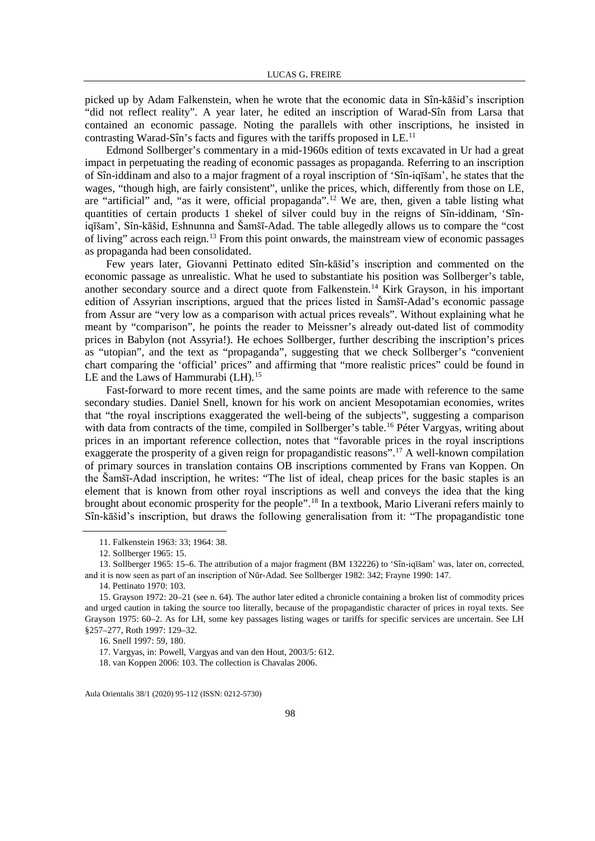picked up by Adam Falkenstein, when he wrote that the economic data in Sîn-kāšid's inscription "did not reflect reality". A year later, he edited an inscription of Warad-Sîn from Larsa that contained an economic passage. Noting the parallels with other inscriptions, he insisted in contrasting Warad-Sîn's facts and figures with the tariffs proposed in LE.[11](#page-3-0)

Edmond Sollberger's commentary in a mid-1960s edition of texts excavated in Ur had a great impact in perpetuating the reading of economic passages as propaganda. Referring to an inscription of Sîn-iddinam and also to a major fragment of a royal inscription of 'Sîn-iqīšam', he states that the wages, "though high, are fairly consistent", unlike the prices, which, differently from those on LE, are "artificial" and, "as it were, official propaganda".<sup>[12](#page-3-1)</sup> We are, then, given a table listing what quantities of certain products 1 shekel of silver could buy in the reigns of Sîn-iddinam, 'Sîniqīšam', Sîn-kāšid, Eshnunna and Šamšī-Adad. The table allegedly allows us to compare the "cost of living" across each reign.[13](#page-3-2) From this point onwards, the mainstream view of economic passages as propaganda had been consolidated.

Few years later, Giovanni Pettinato edited Sîn-kāšid's inscription and commented on the economic passage as unrealistic. What he used to substantiate his position was Sollberger's table, another secondary source and a direct quote from Falkenstein.<sup>[14](#page-3-3)</sup> Kirk Grayson, in his important edition of Assyrian inscriptions, argued that the prices listed in Šamšī-Adad's economic passage from Assur are "very low as a comparison with actual prices reveals". Without explaining what he meant by "comparison", he points the reader to Meissner's already out-dated list of commodity prices in Babylon (not Assyria!). He echoes Sollberger, further describing the inscription's prices as "utopian", and the text as "propaganda", suggesting that we check Sollberger's "convenient chart comparing the 'official' prices" and affirming that "more realistic prices" could be found in LE and the Laws of Hammurabi (LH).<sup>[15](#page-3-4)</sup>

Fast-forward to more recent times, and the same points are made with reference to the same secondary studies. Daniel Snell, known for his work on ancient Mesopotamian economies, writes that "the royal inscriptions exaggerated the well-being of the subjects", suggesting a comparison with data from contracts of the time, compiled in Sollberger's table.<sup>[16](#page-3-5)</sup> Péter Vargyas, writing about prices in an important reference collection, notes that "favorable prices in the royal inscriptions exaggerate the prosperity of a given reign for propagandistic reasons".<sup>[17](#page-3-6)</sup> A well-known compilation of primary sources in translation contains OB inscriptions commented by Frans van Koppen. On the Šamšī-Adad inscription, he writes: "The list of ideal, cheap prices for the basic staples is an element that is known from other royal inscriptions as well and conveys the idea that the king brought about economic prosperity for the people"[.18](#page-3-7) In a textbook, Mario Liverani refers mainly to Sîn-kāšid's inscription, but draws the following generalisation from it: "The propagandistic tone

 <sup>11.</sup> Falkenstein 1963: 33; 1964: 38.

<sup>12.</sup> Sollberger 1965: 15.

<span id="page-3-2"></span><span id="page-3-1"></span><span id="page-3-0"></span><sup>13.</sup> Sollberger 1965: 15–6. The attribution of a major fragment (BM 132226) to 'Sîn-iqīšam' was, later on, corrected, and it is now seen as part of an inscription of Nūr-Adad. See Sollberger 1982: 342; Frayne 1990: 147.

<sup>14.</sup> Pettinato 1970: 103.

<span id="page-3-5"></span><span id="page-3-4"></span><span id="page-3-3"></span><sup>15.</sup> Grayson 1972: 20–21 (see n. 64). The author later edited a chronicle containing a broken list of commodity prices and urged caution in taking the source too literally, because of the propagandistic character of prices in royal texts. See Grayson 1975: 60–2. As for LH, some key passages listing wages or tariffs for specific services are uncertain. See LH §257–277, Roth 1997: 129–32.

<sup>16.</sup> Snell 1997: 59, 180.

<sup>17.</sup> Vargyas, in: Powell, Vargyas and van den Hout, 2003/5: 612.

<span id="page-3-7"></span><span id="page-3-6"></span><sup>18.</sup> van Koppen 2006: 103. The collection is Chavalas 2006.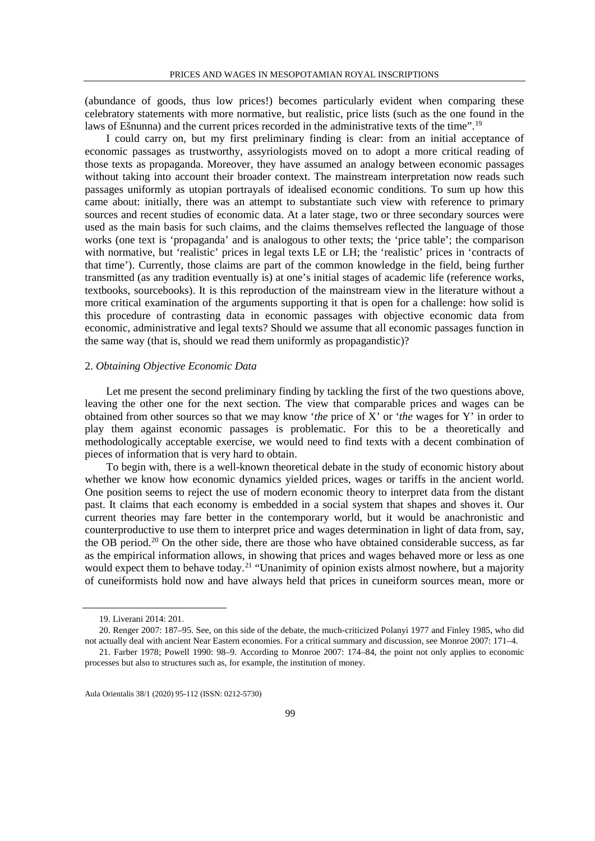(abundance of goods, thus low prices!) becomes particularly evident when comparing these celebratory statements with more normative, but realistic, price lists (such as the one found in the laws of Ešnunna) and the current prices recorded in the administrative texts of the time".<sup>[19](#page-4-0)</sup>

I could carry on, but my first preliminary finding is clear: from an initial acceptance of economic passages as trustworthy, assyriologists moved on to adopt a more critical reading of those texts as propaganda. Moreover, they have assumed an analogy between economic passages without taking into account their broader context. The mainstream interpretation now reads such passages uniformly as utopian portrayals of idealised economic conditions. To sum up how this came about: initially, there was an attempt to substantiate such view with reference to primary sources and recent studies of economic data. At a later stage, two or three secondary sources were used as the main basis for such claims, and the claims themselves reflected the language of those works (one text is 'propaganda' and is analogous to other texts; the 'price table'; the comparison with normative, but 'realistic' prices in legal texts LE or LH; the 'realistic' prices in 'contracts of that time'). Currently, those claims are part of the common knowledge in the field, being further transmitted (as any tradition eventually is) at one's initial stages of academic life (reference works, textbooks, sourcebooks). It is this reproduction of the mainstream view in the literature without a more critical examination of the arguments supporting it that is open for a challenge: how solid is this procedure of contrasting data in economic passages with objective economic data from economic, administrative and legal texts? Should we assume that all economic passages function in the same way (that is, should we read them uniformly as propagandistic)?

# 2. *Obtaining Objective Economic Data*

Let me present the second preliminary finding by tackling the first of the two questions above, leaving the other one for the next section. The view that comparable prices and wages can be obtained from other sources so that we may know '*the* price of X' or '*the* wages for Y' in order to play them against economic passages is problematic. For this to be a theoretically and methodologically acceptable exercise, we would need to find texts with a decent combination of pieces of information that is very hard to obtain.

To begin with, there is a well-known theoretical debate in the study of economic history about whether we know how economic dynamics yielded prices, wages or tariffs in the ancient world. One position seems to reject the use of modern economic theory to interpret data from the distant past. It claims that each economy is embedded in a social system that shapes and shoves it. Our current theories may fare better in the contemporary world, but it would be anachronistic and counterproductive to use them to interpret price and wages determination in light of data from, say, the OB period.<sup>[20](#page-4-1)</sup> On the other side, there are those who have obtained considerable success, as far as the empirical information allows, in showing that prices and wages behaved more or less as one would expect them to behave today.<sup>[21](#page-4-2)</sup> "Unanimity of opinion exists almost nowhere, but a majority of cuneiformists hold now and have always held that prices in cuneiform sources mean, more or

 <sup>19.</sup> Liverani 2014: 201.

<span id="page-4-1"></span><span id="page-4-0"></span><sup>20.</sup> Renger 2007: 187–95. See, on this side of the debate, the much-criticized Polanyi 1977 and Finley 1985, who did not actually deal with ancient Near Eastern economies. For a critical summary and discussion, see Monroe 2007: 171–4.

<span id="page-4-2"></span><sup>21.</sup> Farber 1978; Powell 1990: 98–9. According to Monroe 2007: 174–84, the point not only applies to economic processes but also to structures such as, for example, the institution of money.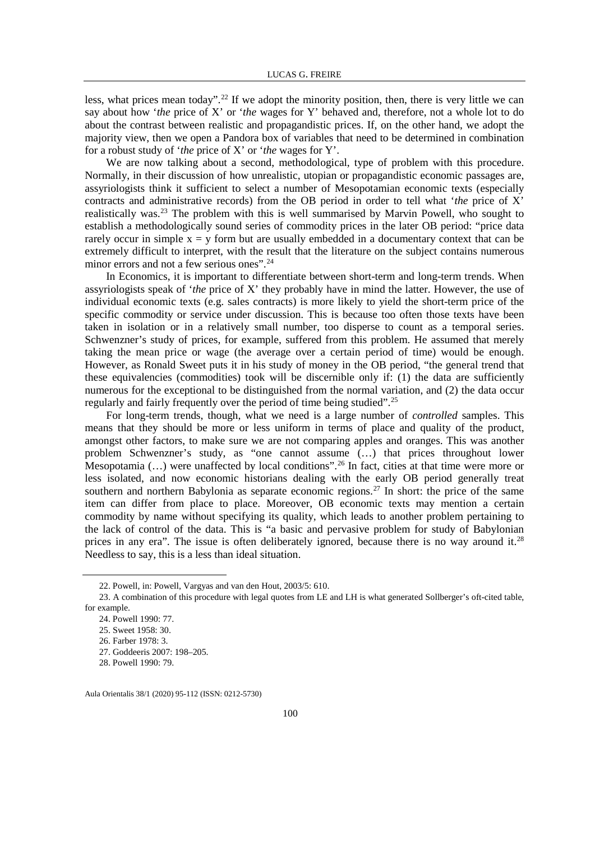less, what prices mean today".<sup>[22](#page-5-0)</sup> If we adopt the minority position, then, there is very little we can say about how '*the* price of X' or '*the* wages for Y' behaved and, therefore, not a whole lot to do about the contrast between realistic and propagandistic prices. If, on the other hand, we adopt the majority view, then we open a Pandora box of variables that need to be determined in combination for a robust study of '*the* price of X' or '*the* wages for Y'.

We are now talking about a second, methodological, type of problem with this procedure. Normally, in their discussion of how unrealistic, utopian or propagandistic economic passages are, assyriologists think it sufficient to select a number of Mesopotamian economic texts (especially contracts and administrative records) from the OB period in order to tell what '*the* price of X' realistically was.<sup>[23](#page-5-1)</sup> The problem with this is well summarised by Marvin Powell, who sought to establish a methodologically sound series of commodity prices in the later OB period: "price data rarely occur in simple  $x = y$  form but are usually embedded in a documentary context that can be extremely difficult to interpret, with the result that the literature on the subject contains numerous minor errors and not a few serious ones".<sup>[24](#page-5-2)</sup>

In Economics, it is important to differentiate between short-term and long-term trends. When assyriologists speak of '*the* price of X' they probably have in mind the latter. However, the use of individual economic texts (e.g. sales contracts) is more likely to yield the short-term price of the specific commodity or service under discussion. This is because too often those texts have been taken in isolation or in a relatively small number, too disperse to count as a temporal series. Schwenzner's study of prices, for example, suffered from this problem. He assumed that merely taking the mean price or wage (the average over a certain period of time) would be enough. However, as Ronald Sweet puts it in his study of money in the OB period, "the general trend that these equivalencies (commodities) took will be discernible only if: (1) the data are sufficiently numerous for the exceptional to be distinguished from the normal variation, and (2) the data occur regularly and fairly frequently over the period of time being studied".[25](#page-5-3)

For long-term trends, though, what we need is a large number of *controlled* samples. This means that they should be more or less uniform in terms of place and quality of the product, amongst other factors, to make sure we are not comparing apples and oranges. This was another problem Schwenzner's study, as "one cannot assume (…) that prices throughout lower Mesopotamia  $(...)$  were unaffected by local conditions".<sup>[26](#page-5-4)</sup> In fact, cities at that time were more or less isolated, and now economic historians dealing with the early OB period generally treat southern and northern Babylonia as separate economic regions.<sup>[27](#page-5-5)</sup> In short: the price of the same item can differ from place to place. Moreover, OB economic texts may mention a certain commodity by name without specifying its quality, which leads to another problem pertaining to the lack of control of the data. This is "a basic and pervasive problem for study of Babylonian prices in any era". The issue is often deliberately ignored, because there is no way around it[.28](#page-5-6) Needless to say, this is a less than ideal situation.

 <sup>22.</sup> Powell, in: Powell, Vargyas and van den Hout, 2003/5: 610.

<span id="page-5-4"></span><span id="page-5-3"></span><span id="page-5-2"></span><span id="page-5-1"></span><span id="page-5-0"></span><sup>23.</sup> A combination of this procedure with legal quotes from LE and LH is what generated Sollberger's oft-cited table, for example.

<sup>24.</sup> Powell 1990: 77.

<sup>25.</sup> Sweet 1958: 30.

<sup>26.</sup> Farber 1978: 3.

<span id="page-5-5"></span><sup>27.</sup> Goddeeris 2007: 198–205.

<span id="page-5-6"></span><sup>28.</sup> Powell 1990: 79.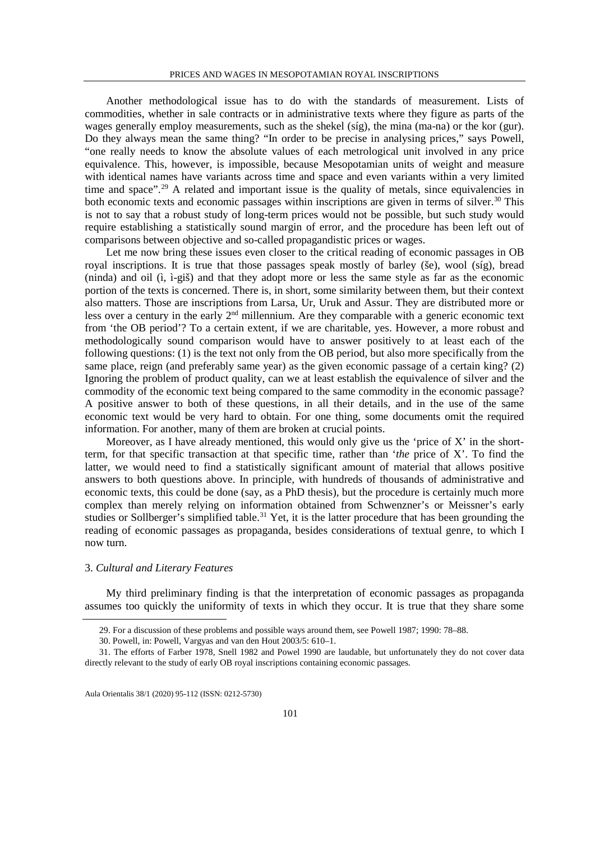Another methodological issue has to do with the standards of measurement. Lists of commodities, whether in sale contracts or in administrative texts where they figure as parts of the wages generally employ measurements, such as the shekel (síg), the mina (ma-na) or the kor (gur). Do they always mean the same thing? "In order to be precise in analysing prices," says Powell, "one really needs to know the absolute values of each metrological unit involved in any price equivalence. This, however, is impossible, because Mesopotamian units of weight and measure with identical names have variants across time and space and even variants within a very limited time and space".<sup>[29](#page-6-0)</sup> A related and important issue is the quality of metals, since equivalencies in both economic texts and economic passages within inscriptions are given in terms of silver.<sup>[30](#page-6-1)</sup> This is not to say that a robust study of long-term prices would not be possible, but such study would require establishing a statistically sound margin of error, and the procedure has been left out of comparisons between objective and so-called propagandistic prices or wages.

Let me now bring these issues even closer to the critical reading of economic passages in OB royal inscriptions. It is true that those passages speak mostly of barley (še), wool (síg), bread (ninda) and oil (ì, ì-giš) and that they adopt more or less the same style as far as the economic portion of the texts is concerned. There is, in short, some similarity between them, but their context also matters. Those are inscriptions from Larsa, Ur, Uruk and Assur. They are distributed more or less over a century in the early 2nd millennium. Are they comparable with a generic economic text from 'the OB period'? To a certain extent, if we are charitable, yes. However, a more robust and methodologically sound comparison would have to answer positively to at least each of the following questions: (1) is the text not only from the OB period, but also more specifically from the same place, reign (and preferably same year) as the given economic passage of a certain king? (2) Ignoring the problem of product quality, can we at least establish the equivalence of silver and the commodity of the economic text being compared to the same commodity in the economic passage? A positive answer to both of these questions, in all their details, and in the use of the same economic text would be very hard to obtain. For one thing, some documents omit the required information. For another, many of them are broken at crucial points.

Moreover, as I have already mentioned, this would only give us the 'price of  $X$ ' in the shortterm, for that specific transaction at that specific time, rather than '*the* price of X'. To find the latter, we would need to find a statistically significant amount of material that allows positive answers to both questions above. In principle, with hundreds of thousands of administrative and economic texts, this could be done (say, as a PhD thesis), but the procedure is certainly much more complex than merely relying on information obtained from Schwenzner's or Meissner's early studies or Sollberger's simplified table.<sup>[31](#page-6-2)</sup> Yet, it is the latter procedure that has been grounding the reading of economic passages as propaganda, besides considerations of textual genre, to which I now turn.

## 3. *Cultural and Literary Features*

My third preliminary finding is that the interpretation of economic passages as propaganda assumes too quickly the uniformity of texts in which they occur. It is true that they share some

 <sup>29.</sup> For a discussion of these problems and possible ways around them, see Powell 1987; 1990: 78–88.

<sup>30.</sup> Powell, in: Powell, Vargyas and van den Hout 2003/5: 610–1.

<span id="page-6-2"></span><span id="page-6-1"></span><span id="page-6-0"></span><sup>31.</sup> The efforts of Farber 1978, Snell 1982 and Powel 1990 are laudable, but unfortunately they do not cover data directly relevant to the study of early OB royal inscriptions containing economic passages.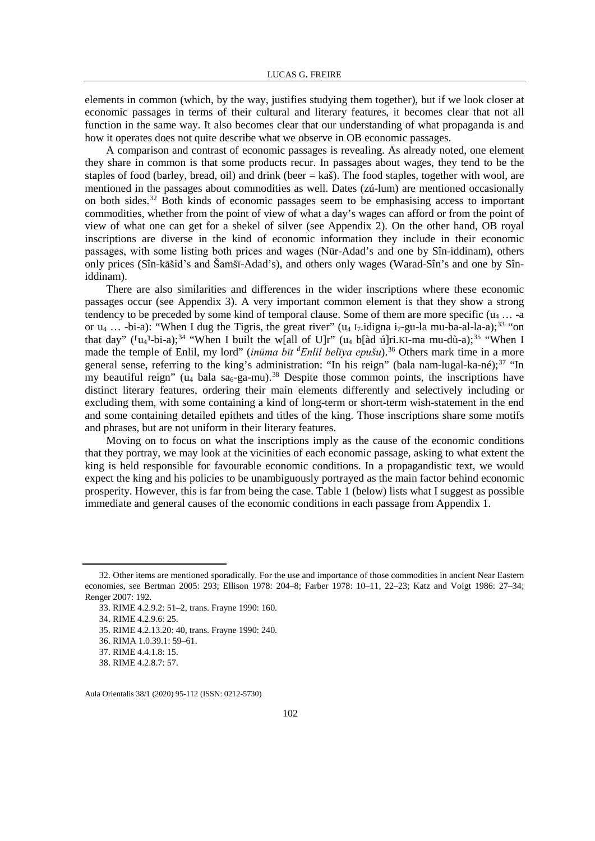elements in common (which, by the way, justifies studying them together), but if we look closer at economic passages in terms of their cultural and literary features, it becomes clear that not all function in the same way. It also becomes clear that our understanding of what propaganda is and how it operates does not quite describe what we observe in OB economic passages.

A comparison and contrast of economic passages is revealing. As already noted, one element they share in common is that some products recur. In passages about wages, they tend to be the staples of food (barley, bread, oil) and drink (beer  $=$  kaš). The food staples, together with wool, are mentioned in the passages about commodities as well. Dates (zú-lum) are mentioned occasionally on both sides.[32](#page-7-0) Both kinds of economic passages seem to be emphasising access to important commodities, whether from the point of view of what a day's wages can afford or from the point of view of what one can get for a shekel of silver (see Appendix 2). On the other hand, OB royal inscriptions are diverse in the kind of economic information they include in their economic passages, with some listing both prices and wages (Nūr-Adad's and one by Sîn-iddinam), others only prices (Sîn-kāšid's and Šamšī-Adad's), and others only wages (Warad-Sîn's and one by Sîniddinam).

There are also similarities and differences in the wider inscriptions where these economic passages occur (see Appendix 3). A very important common element is that they show a strong tendency to be preceded by some kind of temporal clause. Some of them are more specific  $(u_4 \dots -a)$ or  $u_4$  ... -bi-a): "When I dug the Tigris, the great river" (u<sub>4</sub> I<sub>7</sub>.idigna i<sub>7</sub>-gu-la mu-ba-al-la-a);<sup>[33](#page-7-1)</sup> "on that day" ( $\lceil u_4 \rceil$ -bi-a);<sup>[34](#page-7-2)</sup> "When I built the w[all of U]r" (u<sub>4</sub> b[àd ú]ri.KI-ma mu-dù-a);<sup>[35](#page-7-3)</sup> "When I made the temple of Enlil, my lord" (*inūma bīt* <sup>*d*</sup>Enlil belīya epušu).<sup>36</sup> Others mark time in a more general sense, referring to the king's administration: "In his reign" (bala nam-lugal-ka-né);  $37$  "In my beautiful reign" ( $u_4$  bala sa<sub>6</sub>-ga-mu).<sup>[38](#page-7-6)</sup> Despite those common points, the inscriptions have distinct literary features, ordering their main elements differently and selectively including or excluding them, with some containing a kind of long-term or short-term wish-statement in the end and some containing detailed epithets and titles of the king. Those inscriptions share some motifs and phrases, but are not uniform in their literary features.

Moving on to focus on what the inscriptions imply as the cause of the economic conditions that they portray, we may look at the vicinities of each economic passage, asking to what extent the king is held responsible for favourable economic conditions. In a propagandistic text, we would expect the king and his policies to be unambiguously portrayed as the main factor behind economic prosperity. However, this is far from being the case. Table 1 (below) lists what I suggest as possible immediate and general causes of the economic conditions in each passage from Appendix 1.

34. RIME 4.2.9.6: 25.

<span id="page-7-2"></span><span id="page-7-1"></span><span id="page-7-0"></span> <sup>32.</sup> Other items are mentioned sporadically. For the use and importance of those commodities in ancient Near Eastern economies, see Bertman 2005: 293; Ellison 1978: 204–8; Farber 1978: 10–11, 22–23; Katz and Voigt 1986: 27–34; Renger 2007: 192.

<sup>33.</sup> RIME 4.2.9.2: 51–2, trans. Frayne 1990: 160.

<span id="page-7-3"></span><sup>35.</sup> RIME 4.2.13.20: 40, trans. Frayne 1990: 240.

<span id="page-7-4"></span><sup>36.</sup> RIMA 1.0.39.1: 59–61.

<span id="page-7-5"></span><sup>37.</sup> RIME 4.4.1.8: 15.

<span id="page-7-6"></span><sup>38.</sup> RIME 4.2.8.7: 57.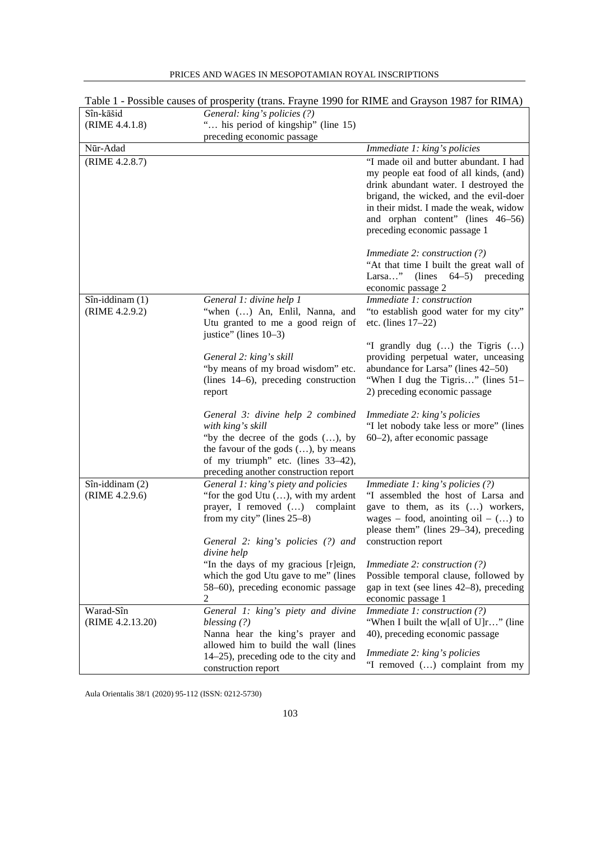|                  | Table 1 - Possible causes of prosperity (trans. Frayne 1990 for RIME and Grayson 1987 for RIMA) |                                                                                  |
|------------------|-------------------------------------------------------------------------------------------------|----------------------------------------------------------------------------------|
| Sîn-kāšid        | General: king's policies (?)                                                                    |                                                                                  |
| (RIME 4.4.1.8)   | " his period of kingship" (line 15)                                                             |                                                                                  |
|                  | preceding economic passage                                                                      |                                                                                  |
| Nūr-Adad         |                                                                                                 | Immediate 1: king's policies                                                     |
| (RIME 4.2.8.7)   |                                                                                                 | "I made oil and butter abundant. I had                                           |
|                  |                                                                                                 | my people eat food of all kinds, (and)                                           |
|                  |                                                                                                 | drink abundant water. I destroyed the                                            |
|                  |                                                                                                 | brigand, the wicked, and the evil-doer<br>in their midst. I made the weak, widow |
|                  |                                                                                                 | and orphan content" (lines 46-56)                                                |
|                  |                                                                                                 | preceding economic passage 1                                                     |
|                  |                                                                                                 |                                                                                  |
|                  |                                                                                                 | <i>Immediate 2: construction <math>(?)</math></i>                                |
|                  |                                                                                                 | "At that time I built the great wall of                                          |
|                  |                                                                                                 | Larsa" (lines 64–5) preceding                                                    |
|                  |                                                                                                 | economic passage 2                                                               |
| Sîn-iddinam (1)  | General 1: divine help 1                                                                        | Immediate 1: construction                                                        |
| (RIME 4.2.9.2)   | "when () An, Enlil, Nanna, and                                                                  | "to establish good water for my city"                                            |
|                  | Utu granted to me a good reign of<br>justice" (lines 10–3)                                      | etc. (lines $17-22$ )                                                            |
|                  |                                                                                                 | "I grandly dug $()$ the Tigris $()$                                              |
|                  | General 2: king's skill                                                                         | providing perpetual water, unceasing                                             |
|                  | "by means of my broad wisdom" etc.                                                              | abundance for Larsa" (lines 42-50)                                               |
|                  | (lines 14–6), preceding construction                                                            | "When I dug the Tigris" (lines 51–                                               |
|                  | report                                                                                          | 2) preceding economic passage                                                    |
|                  |                                                                                                 |                                                                                  |
|                  | General 3: divine help 2 combined                                                               | Immediate 2: king's policies                                                     |
|                  | with king's skill<br>"by the decree of the gods $()$ , by                                       | "I let nobody take less or more" (lines<br>60–2), after economic passage         |
|                  | the favour of the gods $()$ , by means                                                          |                                                                                  |
|                  | of my triumph" etc. (lines 33-42),                                                              |                                                                                  |
|                  | preceding another construction report                                                           |                                                                                  |
| Sîn-iddinam (2)  | General 1: king's piety and policies                                                            | Immediate 1: king's policies (?)                                                 |
| (RIME 4.2.9.6)   | "for the god Utu (), with my ardent                                                             | "I assembled the host of Larsa and                                               |
|                  | prayer, I removed () complaint                                                                  | gave to them, as its () workers,                                                 |
|                  | from my city" (lines $25-8$ )                                                                   | wages – food, anointing oil – $()$ to                                            |
|                  |                                                                                                 | please them" (lines 29–34), preceding                                            |
|                  | General 2: king's policies (?) and construction report<br>divine help                           |                                                                                  |
|                  | "In the days of my gracious [r]eign,                                                            | <i>Immediate 2: construction <math>(?)</math></i>                                |
|                  | which the god Utu gave to me" (lines                                                            | Possible temporal clause, followed by                                            |
|                  | 58-60), preceding economic passage                                                              | gap in text (see lines 42–8), preceding                                          |
|                  | 2                                                                                               | economic passage 1                                                               |
| Warad-Sîn        | General 1: king's piety and divine                                                              | Immediate 1: construction (?)                                                    |
| (RIME 4.2.13.20) | blessing $(?)$                                                                                  | "When I built the w[all of U]r" (line                                            |
|                  | Nanna hear the king's prayer and                                                                | 40), preceding economic passage                                                  |
|                  | allowed him to build the wall (lines                                                            | Immediate 2: king's policies                                                     |
|                  | $14-25$ , preceding ode to the city and<br>construction report                                  | "I removed () complaint from my                                                  |
|                  |                                                                                                 |                                                                                  |

PRICES AND WAGES IN MESOPOTAMIAN ROYAL INSCRIPTIONS

Aula Orientalis 38/1 (2020) 95-112 (ISSN: 0212-5730)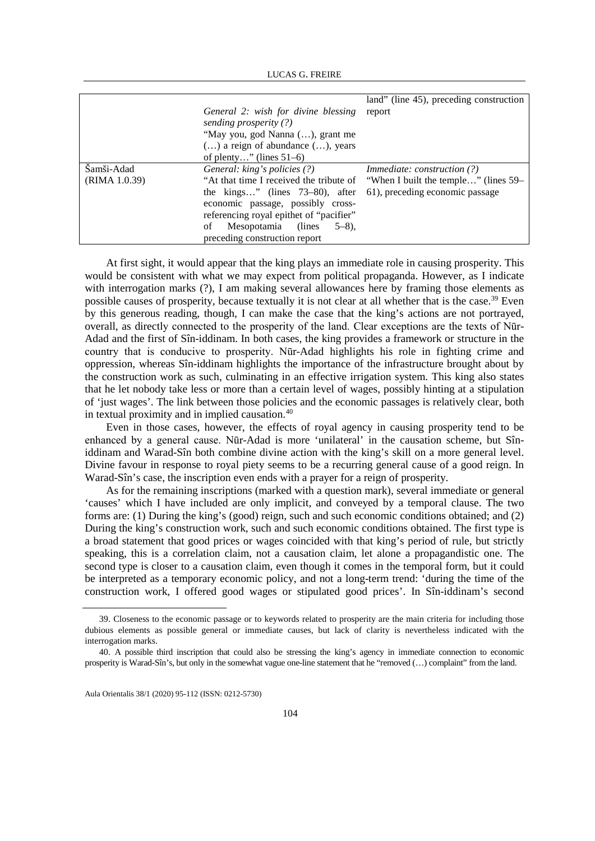|                             | General 2: wish for divine blessing<br>sending prosperity (?)<br>"May you, god Nanna (), grant me<br>$()$ a reign of abundance $()$ , years<br>of plenty" (lines $51-6$ )                                                                                              | land" (line 45), preceding construction<br>report                                                             |
|-----------------------------|------------------------------------------------------------------------------------------------------------------------------------------------------------------------------------------------------------------------------------------------------------------------|---------------------------------------------------------------------------------------------------------------|
| Šamši-Adad<br>(RIMA 1.0.39) | General: king's policies (?)<br>"At that time I received the tribute of<br>the kings" (lines $73-80$ ), after<br>economic passage, possibly cross-<br>referencing royal epithet of "pacifier"<br>Mesopotamia (lines<br>$5-8$ ).<br>οf<br>preceding construction report | <i>Immediate: construction (?)</i><br>"When I built the temple" (lines 59–<br>61), preceding economic passage |

At first sight, it would appear that the king plays an immediate role in causing prosperity. This would be consistent with what we may expect from political propaganda. However, as I indicate with interrogation marks (?), I am making several allowances here by framing those elements as possible causes of prosperity, because textually it is not clear at all whether that is the case.[39](#page-9-0) Even by this generous reading, though, I can make the case that the king's actions are not portrayed, overall, as directly connected to the prosperity of the land. Clear exceptions are the texts of Nūr-Adad and the first of Sîn-iddinam. In both cases, the king provides a framework or structure in the country that is conducive to prosperity. Nūr-Adad highlights his role in fighting crime and oppression, whereas Sîn-iddinam highlights the importance of the infrastructure brought about by the construction work as such, culminating in an effective irrigation system. This king also states that he let nobody take less or more than a certain level of wages, possibly hinting at a stipulation of 'just wages'. The link between those policies and the economic passages is relatively clear, both in textual proximity and in implied causation.[40](#page-9-1)

Even in those cases, however, the effects of royal agency in causing prosperity tend to be enhanced by a general cause. Nūr-Adad is more 'unilateral' in the causation scheme, but Sîniddinam and Warad-Sîn both combine divine action with the king's skill on a more general level. Divine favour in response to royal piety seems to be a recurring general cause of a good reign. In Warad-Sîn's case, the inscription even ends with a prayer for a reign of prosperity.

As for the remaining inscriptions (marked with a question mark), several immediate or general 'causes' which I have included are only implicit, and conveyed by a temporal clause. The two forms are: (1) During the king's (good) reign, such and such economic conditions obtained; and (2) During the king's construction work, such and such economic conditions obtained. The first type is a broad statement that good prices or wages coincided with that king's period of rule, but strictly speaking, this is a correlation claim, not a causation claim, let alone a propagandistic one. The second type is closer to a causation claim, even though it comes in the temporal form, but it could be interpreted as a temporary economic policy, and not a long-term trend: 'during the time of the construction work, I offered good wages or stipulated good prices'. In Sîn-iddinam's second

<span id="page-9-0"></span> <sup>39.</sup> Closeness to the economic passage or to keywords related to prosperity are the main criteria for including those dubious elements as possible general or immediate causes, but lack of clarity is nevertheless indicated with the interrogation marks.

<span id="page-9-1"></span><sup>40.</sup> A possible third inscription that could also be stressing the king's agency in immediate connection to economic prosperity is Warad-Sîn's, but only in the somewhat vague one-line statement that he "removed (…) complaint" from the land.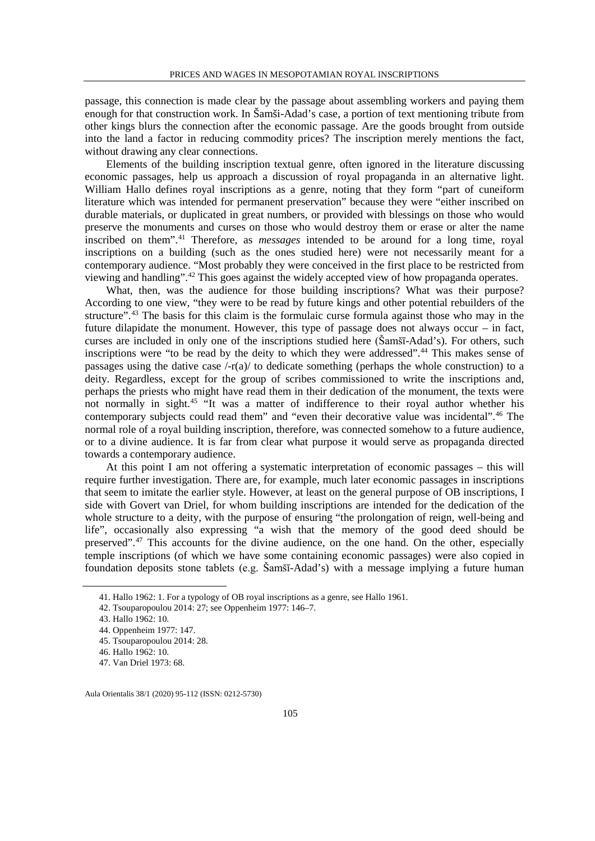passage, this connection is made clear by the passage about assembling workers and paying them enough for that construction work. In Šamši-Adad's case, a portion of text mentioning tribute from other kings blurs the connection after the economic passage. Are the goods brought from outside into the land a factor in reducing commodity prices? The inscription merely mentions the fact, without drawing any clear connections.

Elements of the building inscription textual genre, often ignored in the literature discussing economic passages, help us approach a discussion of royal propaganda in an alternative light. William Hallo defines royal inscriptions as a genre, noting that they form "part of cuneiform literature which was intended for permanent preservation" because they were "either inscribed on durable materials, or duplicated in great numbers, or provided with blessings on those who would preserve the monuments and curses on those who would destroy them or erase or alter the name inscribed on them".[41](#page-10-0) Therefore, as *messages* intended to be around for a long time, royal inscriptions on a building (such as the ones studied here) were not necessarily meant for a contemporary audience. "Most probably they were conceived in the first place to be restricted from viewing and handling"[.42](#page-10-1) This goes against the widely accepted view of how propaganda operates.

What, then, was the audience for those building inscriptions? What was their purpose? According to one view, "they were to be read by future kings and other potential rebuilders of the structure".<sup>[43](#page-10-2)</sup> The basis for this claim is the formulaic curse formula against those who may in the future dilapidate the monument. However, this type of passage does not always occur – in fact, curses are included in only one of the inscriptions studied here (Šamšī-Adad's). For others, such inscriptions were "to be read by the deity to which they were addressed".<sup>[44](#page-10-3)</sup> This makes sense of passages using the dative case  $\frac{1}{r(a)}$  to dedicate something (perhaps the whole construction) to a deity. Regardless, except for the group of scribes commissioned to write the inscriptions and, perhaps the priests who might have read them in their dedication of the monument, the texts were not normally in sight.[45](#page-10-4) "It was a matter of indifference to their royal author whether his contemporary subjects could read them" and "even their decorative value was incidental".<sup>[46](#page-10-5)</sup> The normal role of a royal building inscription, therefore, was connected somehow to a future audience, or to a divine audience. It is far from clear what purpose it would serve as propaganda directed towards a contemporary audience.

At this point I am not offering a systematic interpretation of economic passages – this will require further investigation. There are, for example, much later economic passages in inscriptions that seem to imitate the earlier style. However, at least on the general purpose of OB inscriptions, I side with Govert van Driel, for whom building inscriptions are intended for the dedication of the whole structure to a deity, with the purpose of ensuring "the prolongation of reign, well-being and life", occasionally also expressing "a wish that the memory of the good deed should be preserved".<sup>[47](#page-10-6)</sup> This accounts for the divine audience, on the one hand. On the other, especially temple inscriptions (of which we have some containing economic passages) were also copied in foundation deposits stone tablets (e.g. Šamšī-Adad's) with a message implying a future human

<span id="page-10-0"></span> <sup>41.</sup> Hallo 1962: 1. For a typology of OB royal inscriptions as a genre, see Hallo 1961.

<span id="page-10-1"></span><sup>42.</sup> Tsouparopoulou 2014: 27; see Oppenheim 1977: 146–7.

<span id="page-10-2"></span><sup>43.</sup> Hallo 1962: 10.

<sup>44.</sup> Oppenheim 1977: 147.

<span id="page-10-5"></span><span id="page-10-4"></span><span id="page-10-3"></span><sup>45.</sup> Tsouparopoulou 2014: 28.

<sup>46.</sup> Hallo 1962: 10.

<span id="page-10-6"></span><sup>47.</sup> Van Driel 1973: 68.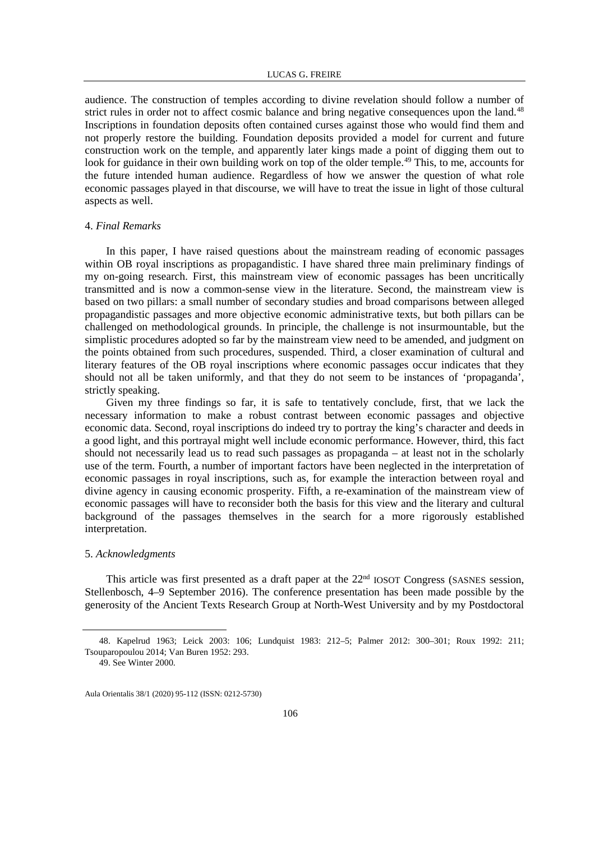audience. The construction of temples according to divine revelation should follow a number of strict rules in order not to affect cosmic balance and bring negative consequences upon the land.<sup>[48](#page-11-0)</sup> Inscriptions in foundation deposits often contained curses against those who would find them and not properly restore the building. Foundation deposits provided a model for current and future construction work on the temple, and apparently later kings made a point of digging them out to look for guidance in their own building work on top of the older temple.<sup>[49](#page-11-1)</sup> This, to me, accounts for the future intended human audience. Regardless of how we answer the question of what role economic passages played in that discourse, we will have to treat the issue in light of those cultural aspects as well.

#### 4. *Final Remarks*

In this paper, I have raised questions about the mainstream reading of economic passages within OB royal inscriptions as propagandistic. I have shared three main preliminary findings of my on-going research. First, this mainstream view of economic passages has been uncritically transmitted and is now a common-sense view in the literature. Second, the mainstream view is based on two pillars: a small number of secondary studies and broad comparisons between alleged propagandistic passages and more objective economic administrative texts, but both pillars can be challenged on methodological grounds. In principle, the challenge is not insurmountable, but the simplistic procedures adopted so far by the mainstream view need to be amended, and judgment on the points obtained from such procedures, suspended. Third, a closer examination of cultural and literary features of the OB royal inscriptions where economic passages occur indicates that they should not all be taken uniformly, and that they do not seem to be instances of 'propaganda', strictly speaking.

Given my three findings so far, it is safe to tentatively conclude, first, that we lack the necessary information to make a robust contrast between economic passages and objective economic data. Second, royal inscriptions do indeed try to portray the king's character and deeds in a good light, and this portrayal might well include economic performance. However, third, this fact should not necessarily lead us to read such passages as propaganda – at least not in the scholarly use of the term. Fourth, a number of important factors have been neglected in the interpretation of economic passages in royal inscriptions, such as, for example the interaction between royal and divine agency in causing economic prosperity. Fifth, a re-examination of the mainstream view of economic passages will have to reconsider both the basis for this view and the literary and cultural background of the passages themselves in the search for a more rigorously established interpretation.

## 5. *Acknowledgments*

This article was first presented as a draft paper at the 22<sup>nd</sup> IOSOT Congress (SASNES session, Stellenbosch, 4–9 September 2016). The conference presentation has been made possible by the generosity of the Ancient Texts Research Group at North-West University and by my Postdoctoral

<span id="page-11-1"></span><span id="page-11-0"></span> <sup>48.</sup> Kapelrud 1963; Leick 2003: 106; Lundquist 1983: 212–5; Palmer 2012: 300–301; Roux 1992: 211; Tsouparopoulou 2014; Van Buren 1952: 293.

<sup>49.</sup> See Winter 2000.

Aula Orientalis 38/1 (2020) 95-112 (ISSN: 0212-5730)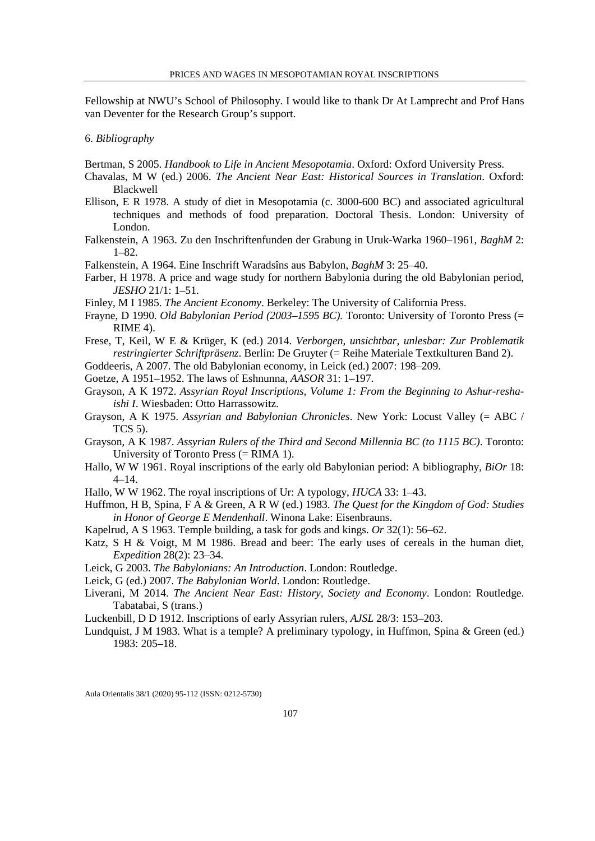Fellowship at NWU's School of Philosophy. I would like to thank Dr At Lamprecht and Prof Hans van Deventer for the Research Group's support.

# 6. *Bibliography*

Bertman, S 2005. *Handbook to Life in Ancient Mesopotamia*. Oxford: Oxford University Press.

- Chavalas, M W (ed.) 2006. *The Ancient Near East: Historical Sources in Translation*. Oxford: Blackwell
- Ellison, E R 1978. A study of diet in Mesopotamia (c. 3000-600 BC) and associated agricultural techniques and methods of food preparation. Doctoral Thesis. London: University of London.
- Falkenstein, A 1963. Zu den Inschriftenfunden der Grabung in Uruk-Warka 1960–1961, *BaghM* 2: 1–82.
- Falkenstein, A 1964. Eine Inschrift Waradsîns aus Babylon, *BaghM* 3: 25–40.
- Farber, H 1978. A price and wage study for northern Babylonia during the old Babylonian period, *JESHO* 21/1: 1–51.
- Finley, M I 1985. *The Ancient Economy*. Berkeley: The University of California Press.
- Frayne, D 1990. *Old Babylonian Period (2003–1595 BC).* Toronto: University of Toronto Press (= RIME 4).

Frese, T, Keil, W E & Krüger, K (ed.) 2014. *Verborgen, unsichtbar, unlesbar: Zur Problematik restringierter Schriftpräsenz*. Berlin: De Gruyter (= Reihe Materiale Textkulturen Band 2).

Goddeeris, A 2007. The old Babylonian economy, in Leick (ed.) 2007: 198–209.

- Goetze, A 1951–1952. The laws of Eshnunna, *AASOR* 31: 1–197.
- Grayson, A K 1972. *Assyrian Royal Inscriptions, Volume 1: From the Beginning to Ashur-reshaishi I*. Wiesbaden: Otto Harrassowitz.
- Grayson, A K 1975. *Assyrian and Babylonian Chronicles*. New York: Locust Valley (= ABC / TCS 5).
- Grayson, A K 1987. *Assyrian Rulers of the Third and Second Millennia BC (to 1115 BC)*. Toronto: University of Toronto Press (= RIMA 1).
- Hallo, W W 1961. Royal inscriptions of the early old Babylonian period: A bibliography, *BiOr* 18: 4–14.
- Hallo, W W 1962. The royal inscriptions of Ur: A typology, *HUCA* 33: 1–43.
- Huffmon, H B, Spina, F A & Green, A R W (ed.) 1983. *The Quest for the Kingdom of God: Studies in Honor of George E Mendenhall*. Winona Lake: Eisenbrauns.
- Kapelrud, A S 1963. Temple building, a task for gods and kings. *Or* 32(1): 56–62.
- Katz, S H & Voigt, M M 1986. Bread and beer: The early uses of cereals in the human diet, *Expedition* 28(2): 23–34.
- Leick, G 2003. *The Babylonians: An Introduction*. London: Routledge.
- Leick, G (ed.) 2007. *The Babylonian World*. London: Routledge.
- Liverani, M 2014. *The Ancient Near East: History, Society and Economy*. London: Routledge. Tabatabai, S (trans.)
- Luckenbill, D D 1912. Inscriptions of early Assyrian rulers, *AJSL* 28/3: 153–203.
- Lundquist, J M 1983. What is a temple? A preliminary typology, in Huffmon, Spina & Green (ed.) 1983: 205–18.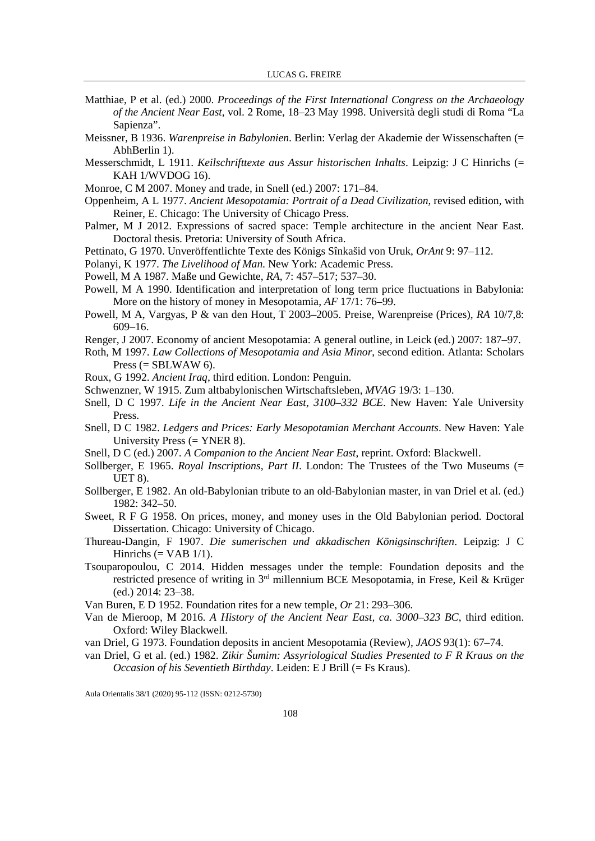- Matthiae, P et al. (ed.) 2000. *Proceedings of the First International Congress on the Archaeology of the Ancient Near East*, vol. 2 Rome, 18–23 May 1998. Università degli studi di Roma "La Sapienza".
- Meissner, B 1936. *Warenpreise in Babylonien*. Berlin: Verlag der Akademie der Wissenschaften (= AbhBerlin 1).
- Messerschmidt, L 1911. *Keilschrifttexte aus Assur historischen Inhalts*. Leipzig: J C Hinrichs (= KAH 1/WVDOG 16).
- Monroe, C M 2007. Money and trade, in Snell (ed.) 2007: 171–84.
- Oppenheim, A L 1977. *Ancient Mesopotamia: Portrait of a Dead Civilization*, revised edition, with Reiner, E. Chicago: The University of Chicago Press.
- Palmer, M J 2012. Expressions of sacred space: Temple architecture in the ancient Near East. Doctoral thesis. Pretoria: University of South Africa.
- Pettinato, G 1970. Unveröffentlichte Texte des Königs Sînkašid von Uruk, *OrAnt* 9: 97–112.
- Polanyi, K 1977. *The Livelihood of Man*. New York: Academic Press.
- Powell, M A 1987. Maße und Gewichte, *RA*, 7: 457–517; 537–30.
- Powell, M A 1990. Identification and interpretation of long term price fluctuations in Babylonia: More on the history of money in Mesopotamia, *AF* 17/1: 76–99.
- Powell, M A, Vargyas, P & van den Hout, T 2003–2005. Preise, Warenpreise (Prices), *RA* 10/7,8: 609–16.
- Renger, J 2007. Economy of ancient Mesopotamia: A general outline, in Leick (ed.) 2007: 187–97.
- Roth, M 1997. *Law Collections of Mesopotamia and Asia Minor*, second edition. Atlanta: Scholars Press  $(=$  SBLWAW 6).
- Roux, G 1992. *Ancient Iraq*, third edition. London: Penguin.
- Schwenzner, W 1915. Zum altbabylonischen Wirtschaftsleben, *MVAG* 19/3: 1–130.
- Snell, D C 1997. *Life in the Ancient Near East, 3100–332 BCE*. New Haven: Yale University Press.
- Snell, D C 1982. *Ledgers and Prices: Early Mesopotamian Merchant Accounts*. New Haven: Yale University Press (= YNER 8).
- Snell, D C (ed.) 2007. *A Companion to the Ancient Near East*, reprint. Oxford: Blackwell.
- Sollberger, E 1965. *Royal Inscriptions, Part II*. London: The Trustees of the Two Museums (= UET 8).
- Sollberger, E 1982. An old-Babylonian tribute to an old-Babylonian master, in van Driel et al. (ed.) 1982: 342–50.
- Sweet, R F G 1958. On prices, money, and money uses in the Old Babylonian period. Doctoral Dissertation. Chicago: University of Chicago.
- Thureau-Dangin, F 1907. *Die sumerischen und akkadischen Königsinschriften*. Leipzig: J C Hinrichs  $(= VAB 1/1)$ .
- Tsouparopoulou, C 2014. Hidden messages under the temple: Foundation deposits and the restricted presence of writing in 3rd millennium BCE Mesopotamia, in Frese, Keil & Krüger (ed.) 2014: 23–38.
- Van Buren, E D 1952. Foundation rites for a new temple, *Or* 21: 293–306.
- Van de Mieroop, M 2016. *A History of the Ancient Near East, ca. 3000–323 BC*, third edition. Oxford: Wiley Blackwell.
- van Driel, G 1973. Foundation deposits in ancient Mesopotamia (Review), *JAOS* 93(1): 67–74.
- van Driel, G et al. (ed.) 1982. *Zikir Šumim: Assyriological Studies Presented to F R Kraus on the Occasion of his Seventieth Birthday*. Leiden: E J Brill (= Fs Kraus).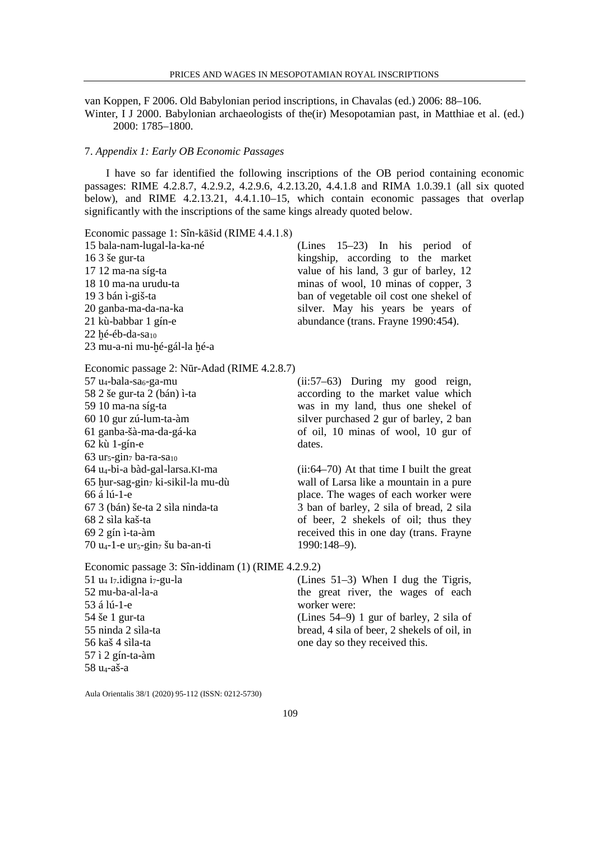van Koppen, F 2006. Old Babylonian period inscriptions, in Chavalas (ed.) 2006: 88–106.

Winter, I J 2000. Babylonian archaeologists of the(ir) Mesopotamian past, in Matthiae et al. (ed.) 2000: 1785–1800.

#### 7. *Appendix 1: Early OB Economic Passages*

I have so far identified the following inscriptions of the OB period containing economic passages: RIME 4.2.8.7, 4.2.9.2, 4.2.9.6, 4.2.13.20, 4.4.1.8 and RIMA 1.0.39.1 (all six quoted below), and RIME 4.2.13.21, 4.4.1.10–15, which contain economic passages that overlap significantly with the inscriptions of the same kings already quoted below.

Economic passage 1: Sîn-kāšid (RIME 4.4.1.8)

| 15 bala-nam-lugal-la-ka-né     | (Lines $15-23$ ) In his period of       |
|--------------------------------|-----------------------------------------|
| $163$ se gur-ta                | kingship, according to the market       |
| 17 12 ma-na síg-ta             | value of his land, 3 gur of barley, 12  |
| 18 10 ma-na urudu-ta           | minas of wool, 10 minas of copper, 3    |
| 19 3 bán ì-giš-ta              | ban of vegetable oil cost one shekel of |
| 20 ganba-ma-da-na-ka           | silver. May his years be years of       |
| 21 kù-babbar 1 gín-e           | abundance (trans. Frayne 1990:454).     |
| $22$ hé-éb-da-sa <sub>10</sub> |                                         |
| 23 mu-a-ni mu-hé-gál-la hé-a   |                                         |

Economic passage 2: Nūr-Adad (RIME 4.2.8.7)

 $57$  u<sub>4</sub>-bala-sa<sub>6</sub>-ga-mu 58 2 še gur-ta 2 (bán) ì-ta 59 10 ma-na síg-ta 60 10 gur zú-lum-ta-àm 61 ganba-šà-ma-da-gá-ka 62 kù 1-gín-e  $63$  ur<sub>5</sub>-gin<sub>7</sub> ba-ra-sa<sub>10</sub> 64 u4-bi-a bàd-gal-larsa.KI-ma 65 ḫur-sag-gin7 ki-sikil-la mu-dù 66 á lú-1-e 67 3 (bán) še-ta 2 sìla ninda-ta 68 2 sìla kaš-ta 69 2 gín ì-ta-àm 70 u4-1-e ur5-gin7 šu ba-an-ti

(ii:57–63) During my good reign, according to the market value which was in my land, thus one shekel of silver purchased 2 gur of barley, 2 ban of oil, 10 minas of wool, 10 gur of dates.

(ii:64–70) At that time I built the great wall of Larsa like a mountain in a pure place. The wages of each worker were 3 ban of barley, 2 sila of bread, 2 sila of beer, 2 shekels of oil; thus they received this in one day (trans. Frayne 1990:148–9).

Economic passage 3: Sîn-iddinam (1) (RIME 4.2.9.2)  $51$  u<sub>4</sub> I<sub>7</sub>.idigna i<sub>7</sub>-gu-la 52 mu-ba-al-la-a 53 á lú-1-e 54 še 1 gur-ta 55 ninda 2 sìla-ta 56 kaš 4 sìla-ta 57 ì 2 gín-ta-àm 58 u4-aš-a

(Lines 51–3) When I dug the Tigris, the great river, the wages of each worker were: (Lines 54–9) 1 gur of barley, 2 sila of bread, 4 sila of beer, 2 shekels of oil, in one day so they received this.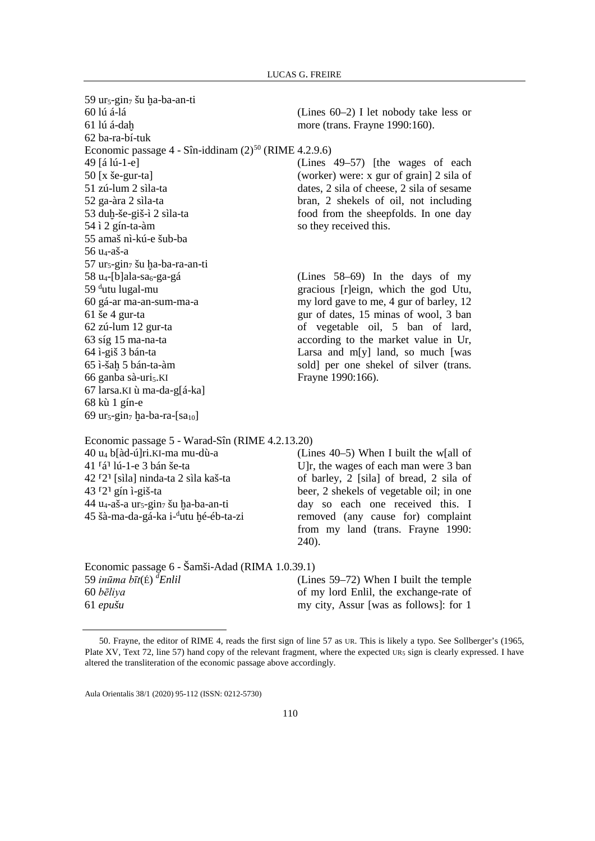59 ur $_5$ -gin $_7$  šu ha-ba-an-ti 60 lú á-lá 61 lú á-daḫ 62 ba-ra-bí-tuk (Lines 60–2) I let nobody take less or more (trans. Frayne 1990:160). Economic passage  $4 - \text{Sin-iddinam} (2)^{50}$  $4 - \text{Sin-iddinam} (2)^{50}$  $4 - \text{Sin-iddinam} (2)^{50}$  (RIME 4.2.9.6) 49 [á lú-1-e] 50 [x še-gur-ta] 51 zú-lum 2 sìla-ta 52 ga-àra 2 sìla-ta 53 duḫ-še-giš-ì 2 sìla-ta 54 ì 2 gín-ta-àm 55 amaš nì-kú-e šub-ba 56 u4-aš-a 57 ur<sub>5</sub>-gin<sub>7</sub> šu ha-ba-ra-an-ti (Lines 49–57) [the wages of each (worker) were: x gur of grain] 2 sila of dates, 2 sila of cheese, 2 sila of sesame bran, 2 shekels of oil, not including food from the sheepfolds. In one day so they received this.  $58 u_4$ -[b]ala-sa<sub>6</sub>-ga-gá 59 <sup>d</sup>utu lugal-mu 60 gá-ar ma-an-sum-ma-a 61 še 4 gur-ta 62 zú-lum 12 gur-ta 63 síg 15 ma-na-ta 64 ì-giš 3 bán-ta 65 ì-šaḫ 5 bán-ta-àm 66 ganba sà-uri<sub>5</sub>.KI 67 larsa.KI ù ma-da-g[á-ka] 68 kù 1 gín-e 69 ur<sub>5</sub>-gin<sub>7</sub> ḫa-ba-ra-[sa<sub>10</sub>] (Lines 58–69) In the days of my gracious [r]eign, which the god Utu, my lord gave to me, 4 gur of barley, 12 gur of dates, 15 minas of wool, 3 ban of vegetable oil, 5 ban of lard, according to the market value in Ur, Larsa and  $m[y]$  land, so much [was] sold] per one shekel of silver (trans. Frayne 1990:166). Economic passage 5 - Warad-Sîn (RIME 4.2.13.20)

40 u4 b[àd-ú]ri.KI-ma mu-dù-a 41 ⸢á⸣ lú-1-e 3 bán še-ta 42 ⸢2⸣ [sìla] ninda-ta 2 sìla kaš-ta 43  $\lceil 2 \rceil$  gín ì-giš-ta 44 u<sub>4</sub>-aš-a ur<sub>5</sub>-gin<sub>7</sub> šu ha-ba-an-ti 45 šà-ma-da-gá-ka i-<sup>d</sup>utu ḫé-éb-ta-zi (Lines 40–5) When I built the w[all of U]r, the wages of each man were 3 ban of barley, 2 [sila] of bread, 2 sila of beer, 2 shekels of vegetable oil; in one day so each one received this. I removed (any cause for) complaint from my land (trans. Frayne 1990: 240). Economic passage 6 - Šamši-Adad (RIMA 1.0.39.1) 59 *inūma bīt*(É) *<sup>d</sup> Enlil* 60 *bēliya* 61 *epušu* (Lines 59–72) When I built the temple of my lord Enlil, the exchange-rate of my city, Assur [was as follows]: for 1

<span id="page-15-0"></span> <sup>50.</sup> Frayne, the editor of RIME 4, reads the first sign of line 57 as UR. This is likely a typo. See Sollberger's (1965, Plate XV, Text 72, line 57) hand copy of the relevant fragment, where the expected UR<sub>5</sub> sign is clearly expressed. I have altered the transliteration of the economic passage above accordingly.

Aula Orientalis 38/1 (2020) 95-112 (ISSN: 0212-5730)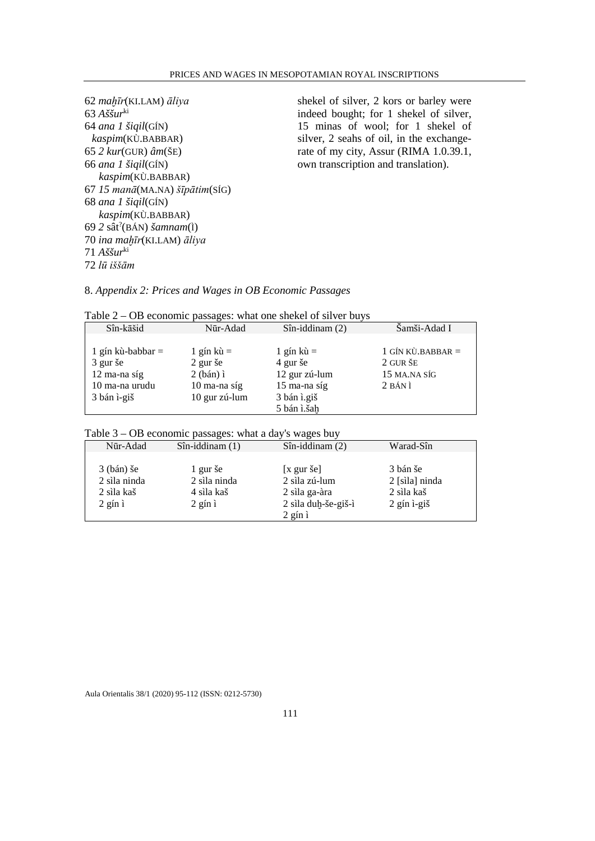shekel of silver, 2 kors or barley were indeed bought; for 1 shekel of silver, 15 minas of wool; for 1 shekel of silver, 2 seahs of oil, in the exchangerate of my city, Assur (RIMA 1.0.39.1, own transcription and translation).

8. *Appendix 2: Prices and Wages in OB Economic Passages*

| Table $2 - OB$ economic passages: what one shekel of silver buys |  |  |  |  |
|------------------------------------------------------------------|--|--|--|--|
|                                                                  |  |  |  |  |

| Sîn-kāšid           | Nūr-Adad            | $Sîn-iddinam(2)$       | Šamši-Adad I        |
|---------------------|---------------------|------------------------|---------------------|
|                     |                     |                        |                     |
| 1 gín kù-babbar $=$ | $1 \sin k\hat{u} =$ | $1 \sin k\mathbf{u} =$ | 1 GÍN KÙ.BABBAR $=$ |
| 3 gur še            | $2$ gur še          | 4 gur še               | 2 GUR ŠE            |
| $12$ ma-na síg      | $2$ (bán) $i$       | 12 gur zú-lum          | 15 MA.NA SÍG        |
| 10 ma-na urudu      | $10$ ma-na síg      | 15 ma-na síg           | 2 BAN I             |
| 3 bán ì-giš         | 10 gur zú-lum       | 3 bán ì.giš            |                     |
|                     |                     | 5 bán ì.šah            |                     |

|  | Table $3 - OB$ economic passages: what a day's wages buy |  |  |  |
|--|----------------------------------------------------------|--|--|--|
|  |                                                          |  |  |  |

| Nūr-Adad          | $Sîn$ -iddinam $(1)$ | $Sin$ -iddinam $(2)$     | Warad-Sîn        |
|-------------------|----------------------|--------------------------|------------------|
|                   |                      |                          |                  |
| $3$ (bán) še      | 1 gur še             | $[x \text{ gur} \geq 0]$ | 3 bán še         |
| 2 sìla ninda      | 2 sìla ninda         | 2 sìla zú-lum            | 2 [sila] ninda   |
| 2 sila kaš        | 4 sìla kaš           | 2 sìla ga-àra            | 2 sila kaš       |
| $2$ gin $\lambda$ | $2$ gin $\lambda$    | 2 sìla duh-še-giš-ì      | $2$ gín $i$ -giš |
|                   |                      | $2$ gin $\lambda$        |                  |